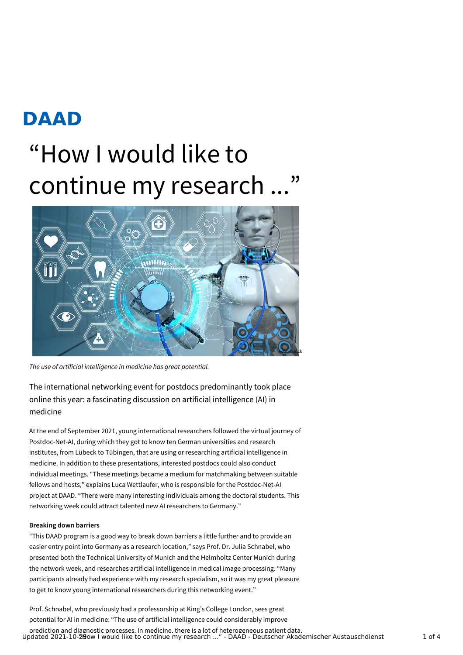## **DAAD**

## "How I would like to continue my research ..."



*The use of artificial intelligence in medicine has great potential.*

The international networking event for postdocs predominantly took place online this year: a fascinating discussion on artificial intelligence (AI) in medicine

At the end of September 2021, young international researchers followed the virtual journey of Postdoc-Net-AI, during which they got to know ten German universities and research institutes, from Lübeck to Tübingen, that are using or researching artificial intelligence in medicine. In addition to these presentations, interested postdocs could also conduct individual meetings. "These meetings became a medium for matchmaking between suitable fellows and hosts," explains Luca Wettlaufer, who is responsible for the Postdoc-Net-AI project at DAAD. "There were many interesting individuals among the doctoral students. This networking week could attract talented new AI researchers to Germany."

## **Breaking down barriers**

"This DAAD program is a good way to break down barriers a little further and to provide an easier entry point into Germany as a research location," says Prof. Dr. Julia Schnabel, who presented both the Technical University of Munich and the Helmholtz Center Munich during the network week, and researches artificial intelligence in medical image processing. "Many participants already had experience with my research specialism, so it was my great pleasure to get to know young international researchers during this networking event."

Prof. Schnabel, who previously had a professorship at King's College London, sees great potential for AI in medicine: "The use of artificial intelligence could considerably improve prediction and diagnostic processes. In medicine, there is a lot of heterogeneous patient data,<br>Updated 2021-10-29ow I would like to continue my research ..." - DAAD - Deutscher Akademischer Austauschdienst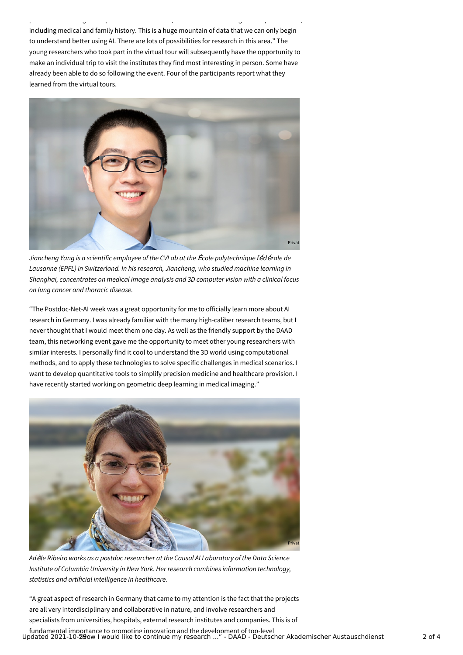including medical and family history. This is a huge mountain of data that we can only begin to understand better using AI. There are lots of possibilities for research in this area." The young researchers who took part in the virtual tour will subsequently have the opportunity to make an individual trip to visit the institutes they find most interesting in person. Some have already been able to do so following the event. Four of the participants report what they learned from the virtual tours.

prediction and diagnostic processes. In medicine, there is a lot of heterogeneous patient data,



*Jiancheng Yang is a scientific employee of the CVLab at the* É*cole polytechnique f*é*d*é*rale de Lausanne (EPFL) in Switzerland. In hisresearch, Jiancheng, who studied machine learning in Shanghai, concentrates on medical image analysis and 3D computer vision with a clinical focus on lung cancer and thoracic disease.*

"The Postdoc-Net-AI week was a great opportunity for me to officially learn more about AI research in Germany. I was already familiar with the many high-caliber research teams, but I never thought that I would meet them one day. As well as the friendly support by the DAAD team, this networking event gave me the opportunity to meet other young researchers with similar interests. I personally find it cool to understand the 3D world using computational methods, and to apply these technologies to solve specific challenges in medical scenarios. I want to develop quantitative tools to simplify precision medicine and healthcare provision. I have recently started working on geometric deep learning in medical imaging."



*Ad*è*le Ribeiro works as a postdoc researcher at the Causal AI Laboratory of the Data Science Institute of Columbia University in New York. Her research combinesinformation technology, statistics and artificial intelligence in healthcare.*

"A great aspect of research in Germany that came to my attention is the fact that the projects are all very interdisciplinary and collaborative in nature, and involve researchers and specialists from universities, hospitals, external research institutes and companies. This is of

fundamental importance to promoting innovation and the development of top-level<br>Updated 2021-10-29ow I would like to continue my research ..." - DAAD - Deutscher Akademischer Austauschdienst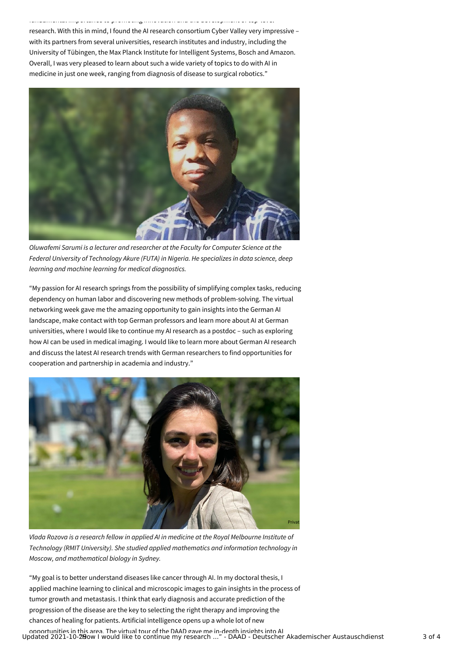research. With this in mind, I found the AI research consortium Cyber Valley very impressive – with its partners from several universities, research institutes and industry, including the University of Tübingen, the Max Planck Institute for Intelligent Systems, Bosch and Amazon. Overall, I was very pleased to learn about such a wide variety of topics to do with AI in medicine in just one week, ranging from diagnosis of disease to surgical robotics."

fundamental importance to promoting innovation and the development of top-level



*Oluwafemi Sarumi is a lecturer and researcher at the Faculty for Computer Science at the Federal University of Technology Akure (FUTA) in Nigeria. He specializesin data science, deep learning and machine learning for medical diagnostics.*

"My passion for AI research springs from the possibility of simplifying complex tasks, reducing dependency on human labor and discovering new methods of problem-solving. The virtual networking week gave me the amazing opportunity to gain insights into the German AI landscape, make contact with top German professors and learn more about AI at German universities, where I would like to continue my AI research as a postdoc – such as exploring how AI can be used in medical imaging. I would like to learn more about German AI research and discuss the latest AI research trends with German researchers to find opportunities for cooperation and partnership in academia and industry."



*Vlada Rozova is a research fellow in applied AI in medicine at the Royal Melbourne Institute of Technology (RMIT University). She studied applied mathematics and information technology in Moscow, and mathematical biology in Sydney.*

"My goal is to better understand diseases like cancer through AI. In my doctoral thesis, I applied machine learning to clinical and microscopic images to gain insights in the process of tumor growth and metastasis. I think that early diagnosis and accurate prediction of the progression of the disease are the key to selecting the right therapy and improving the chances of healing for patients. Artificial intelligence opens up a whole lot of new